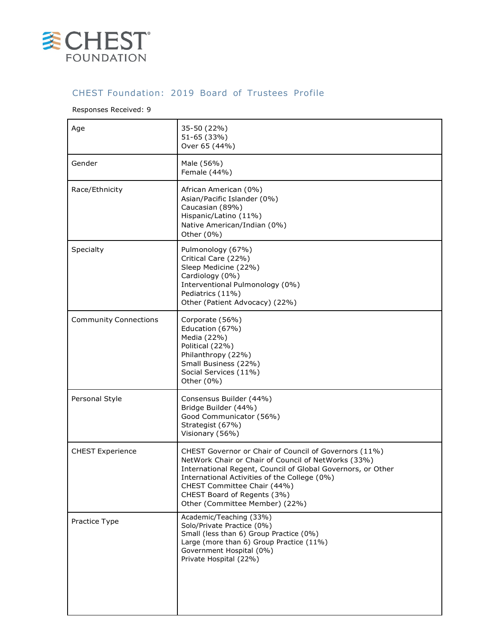

## CHEST Foundation: 2019 Board of Trustees Profile

## Responses Received: 9

| Age                          | 35-50 (22%)<br>51-65 (33%)<br>Over 65 (44%)                                                                                                                                                                                                                                                                                 |
|------------------------------|-----------------------------------------------------------------------------------------------------------------------------------------------------------------------------------------------------------------------------------------------------------------------------------------------------------------------------|
| Gender                       | Male (56%)<br>Female (44%)                                                                                                                                                                                                                                                                                                  |
| Race/Ethnicity               | African American (0%)<br>Asian/Pacific Islander (0%)<br>Caucasian (89%)<br>Hispanic/Latino (11%)<br>Native American/Indian (0%)<br>Other (0%)                                                                                                                                                                               |
| Specialty                    | Pulmonology (67%)<br>Critical Care (22%)<br>Sleep Medicine (22%)<br>Cardiology (0%)<br>Interventional Pulmonology (0%)<br>Pediatrics (11%)<br>Other (Patient Advocacy) (22%)                                                                                                                                                |
| <b>Community Connections</b> | Corporate (56%)<br>Education (67%)<br>Media (22%)<br>Political (22%)<br>Philanthropy (22%)<br>Small Business (22%)<br>Social Services (11%)<br>Other (0%)                                                                                                                                                                   |
| Personal Style               | Consensus Builder (44%)<br>Bridge Builder (44%)<br>Good Communicator (56%)<br>Strategist (67%)<br>Visionary (56%)                                                                                                                                                                                                           |
| <b>CHEST Experience</b>      | CHEST Governor or Chair of Council of Governors (11%)<br>NetWork Chair or Chair of Council of NetWorks (33%)<br>International Regent, Council of Global Governors, or Other<br>International Activities of the College (0%)<br>CHEST Committee Chair (44%)<br>CHEST Board of Regents (3%)<br>Other (Committee Member) (22%) |
| Practice Type                | Academic/Teaching (33%)<br>Solo/Private Practice (0%)<br>Small (less than 6) Group Practice (0%)<br>Large (more than 6) Group Practice (11%)<br>Government Hospital (0%)<br>Private Hospital (22%)                                                                                                                          |